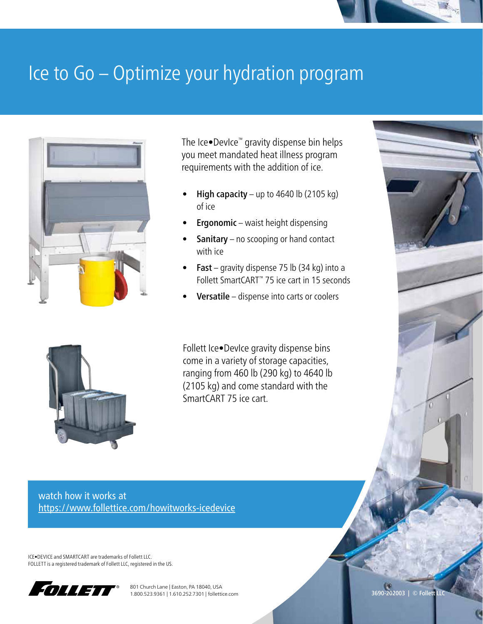

## Ice to Go – Optimize your hydration program



The Ice•DevIce™ gravity dispense bin helps you meet mandated heat illness program requirements with the addition of ice.

- High capacity up to 4640 lb (2105 kg) of ice
- **Ergonomic** waist height dispensing
- **Sanitary** no scooping or hand contact with ice
- **Fast** gravity dispense 75 lb  $(34 \text{ kg})$  into a Follett SmartCART™ 75 ice cart in 15 seconds
- Versatile dispense into carts or coolers



Follett Ice•DevIce gravity dispense bins come in a variety of storage capacities, ranging from 460 lb (290 kg) to 4640 lb (2105 kg) and come standard with the SmartCART 75 ice cart.

watch how it works at [https://www.follettice.com/](https://www.follettice.com/ice-device-ice-dispenser-bin-vs-upright-ice-bins)howitworks-icedevice

ICE•DEVICE and SMARTCART are trademarks of Follett LLC. FOLLETT is a registered trademark of Follett LLC, registered in the US.



801 Church Lane | Easton, PA 18040, USA 1.800.523.9361 | 1.610.252.7301 | follettice.com

3690-202003 | © Follett LLC